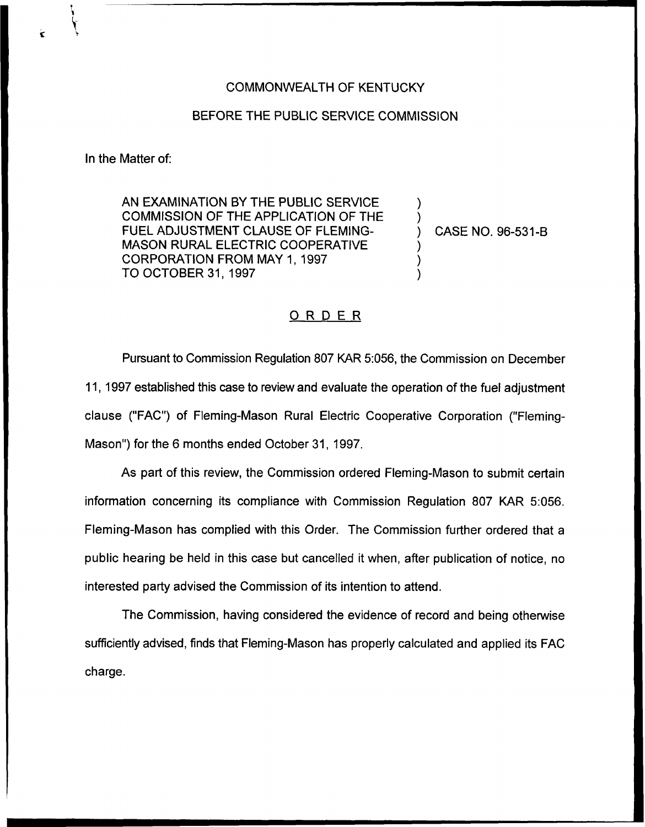## COMMONWEALTH OF KENTUCKY

## BEFORE THE PUBLIC SERVICE COMMISSION

In the Matter of:

AN EXAMINATION BY THE PUBLIC SERViCE COMMISSION OF THE APPLICATION OF THE FUEL ADJUSTMENT CLAUSE OF FLEMING-MASON RURAL ELECTRIC COOPERATIVE CORPORATION FROM MAY 1, 1997 TO OCTOBER 31, 1997

) CASE NO. 96-531-B

) )

) ) )

## ORDER

Pursuant to Commission Regulation 807 KAR 5:056, the Commission on December 11, 1997 established this case to review and evaluate the operation of the fuel adjustment clause ("FAC") of Fleming-Mason Rural Electric Cooperative Corporation ("Fleming-Mason") for the 6 months ended October 31, 1997.

As part of this review, the Commission ordered Fleming-Mason to submit certain information concerning its compliance with Commission Regulation 807 KAR 5:056. Fleming-Mason has complied with this Order. The Commission further ordered that a public hearing be held in this case but cancelled it when, after publication of notice, no interested party advised the Commission of its intention to attend.

The Commission, having considered the evidence of record and being otherwise sufficiently advised, finds that Fleming-Mason has properly calculated and applied its FAC charge.